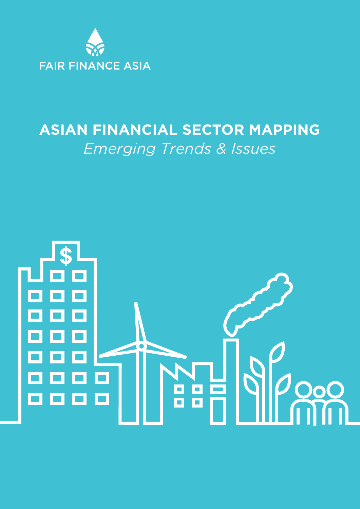

# **ASIAN FINANCIAL SECTOR MAPPING** *Emerging Trends & Issues*

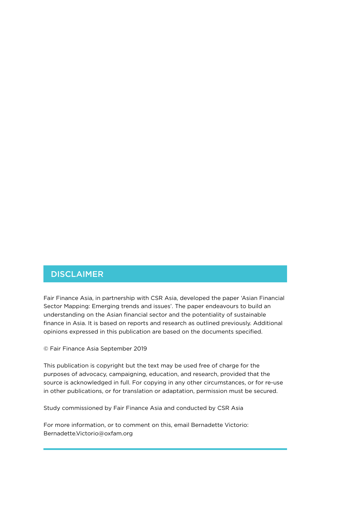### DISCLAIMER

Fair Finance Asia, in partnership with CSR Asia, developed the paper 'Asian Financial Sector Mapping: Emerging trends and issues'. The paper endeavours to build an understanding on the Asian financial sector and the potentiality of sustainable finance in Asia. It is based on reports and research as outlined previously. Additional opinions expressed in this publication are based on the documents specified.

© Fair Finance Asia September 2019

This publication is copyright but the text may be used free of charge for the purposes of advocacy, campaigning, education, and research, provided that the source is acknowledged in full. For copying in any other circumstances, or for re-use in other publications, or for translation or adaptation, permission must be secured.

Study commissioned by Fair Finance Asia and conducted by CSR Asia

For more information, or to comment on this, email Bernadette Victorio: Bernadette.Victorio@oxfam.org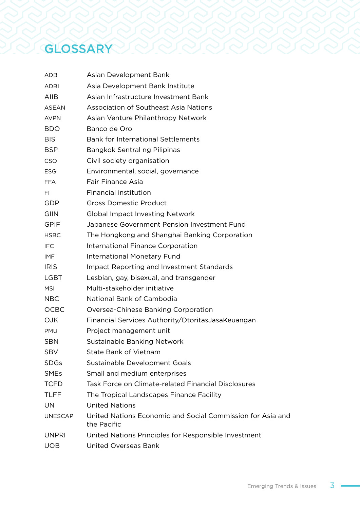# GLOSSARY CO

| ADB            | Asian Development Bank                                                    |
|----------------|---------------------------------------------------------------------------|
| <b>ADBI</b>    | Asia Development Bank Institute                                           |
| AIIB           | Asian Infrastructure Investment Bank                                      |
| <b>ASEAN</b>   | <b>Association of Southeast Asia Nations</b>                              |
| <b>AVPN</b>    | Asian Venture Philanthropy Network                                        |
| <b>BDO</b>     | Banco de Oro                                                              |
| <b>BIS</b>     | Bank for International Settlements                                        |
| BSP            | Bangkok Sentral ng Pilipinas                                              |
| CSO            | Civil society organisation                                                |
| ESG            | Environmental, social, governance                                         |
| <b>FFA</b>     | Fair Finance Asia                                                         |
| FI.            | Financial institution                                                     |
| GDP            | <b>Gross Domestic Product</b>                                             |
| <b>GIIN</b>    | <b>Global Impact Investing Network</b>                                    |
| <b>GPIF</b>    | Japanese Government Pension Investment Fund                               |
| <b>HSBC</b>    | The Hongkong and Shanghai Banking Corporation                             |
| IFC            | International Finance Corporation                                         |
| IMF            | <b>International Monetary Fund</b>                                        |
| <b>IRIS</b>    | Impact Reporting and Investment Standards                                 |
| <b>LGBT</b>    | Lesbian, gay, bisexual, and transgender                                   |
| <b>MSI</b>     | Multi-stakeholder initiative                                              |
| <b>NBC</b>     | National Bank of Cambodia                                                 |
| OCBC           | Oversea-Chinese Banking Corporation                                       |
| <b>OJK</b>     | Financial Services Authority/OtoritasJasaKeuangan                         |
| <b>PMU</b>     | Project management unit                                                   |
| SBN            | Sustainable Banking Network                                               |
| <b>SBV</b>     | State Bank of Vietnam                                                     |
| <b>SDGs</b>    | Sustainable Development Goals                                             |
| <b>SMEs</b>    | Small and medium enterprises                                              |
| <b>TCFD</b>    | Task Force on Climate-related Financial Disclosures                       |
| <b>TLFF</b>    | The Tropical Landscapes Finance Facility                                  |
| UN             | <b>United Nations</b>                                                     |
| <b>UNESCAP</b> | United Nations Economic and Social Commission for Asia and<br>the Pacific |
| <b>UNPRI</b>   | United Nations Principles for Responsible Investment                      |
| <b>UOB</b>     | United Overseas Bank                                                      |
|                |                                                                           |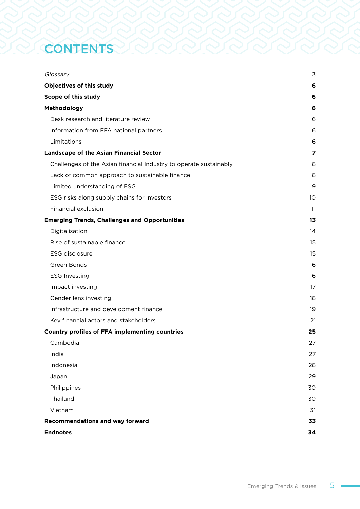## **CONTENTS**

| Glossary                                                          | 3  |
|-------------------------------------------------------------------|----|
| Objectives of this study                                          | 6  |
| Scope of this study                                               | 6  |
| Methodology                                                       | 6  |
| Desk research and literature review                               | 6  |
| Information from FFA national partners                            | 6  |
| Limitations                                                       | 6  |
| <b>Landscape of the Asian Financial Sector</b>                    | 7  |
| Challenges of the Asian financial Industry to operate sustainably | 8  |
| Lack of common approach to sustainable finance                    | 8  |
| Limited understanding of ESG                                      | 9  |
| ESG risks along supply chains for investors                       | 10 |
| Financial exclusion                                               | 11 |
| <b>Emerging Trends, Challenges and Opportunities</b>              | 13 |
| Digitalisation                                                    | 14 |
| Rise of sustainable finance                                       | 15 |
| ESG disclosure                                                    | 15 |
| Green Bonds                                                       | 16 |
| <b>ESG Investing</b>                                              | 16 |
| Impact investing                                                  | 17 |
| Gender lens investing                                             | 18 |
| Infrastructure and development finance                            | 19 |
| Key financial actors and stakeholders                             | 21 |
| <b>Country profiles of FFA implementing countries</b>             | 25 |
| Cambodia                                                          | 27 |
| India                                                             | 27 |
| Indonesia                                                         | 28 |
| Japan                                                             | 29 |
| Philippines                                                       | 30 |
| Thailand                                                          | 30 |
| Vietnam                                                           | 31 |
| <b>Recommendations and way forward</b>                            | 33 |
| <b>Endnotes</b>                                                   | 34 |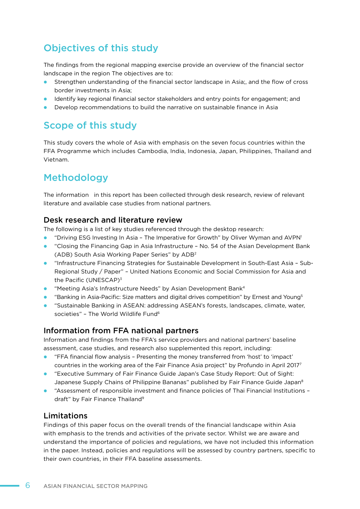## Objectives of this study

The findings from the regional mapping exercise provide an overview of the financial sector landscape in the region The objectives are to:

- l Strengthen understanding of the financial sector landscape in Asia;, and the flow of cross border investments in Asia;
- **IDENTIFY And IDENTIFY CONTEX IS NOTE I**nformational financial sector stateholders and locations for engagement; and
- **•** Develop recommendations to build the narrative on sustainable finance in Asia

## Scope of this study

This study covers the whole of Asia with emphasis on the seven focus countries within the FFA Programme which includes Cambodia, India, Indonesia, Japan, Philippines, Thailand and Vietnam.

## Methodology

The information in this report has been collected through desk research, review of relevant literature and available case studies from national partners.

#### Desk research and literature review

The following is a list of key studies referenced through the desktop research:

- "Driving ESG Investing In Asia The Imperative for Growth" by Oliver Wyman and AVPN<sup>1</sup>
- **•** "Closing the Financing Gap in Asia Infrastructure No. 54 of the Asian Development Bank (ADB) South Asia Working Paper Series" by ADB2
- **•** "Infrastructure Financing Strategies for Sustainable Development in South-East Asia Sub-Regional Study / Paper" – United Nations Economic and Social Commission for Asia and the Pacific (UNESCAP)<sup>3</sup>
- **•** "Meeting Asia's Infrastructure Needs" by Asian Development Bank<sup>4</sup>
- **•** "Banking in Asia-Pacific: Size matters and digital drives competition" by Ernest and Young<sup>5</sup>
- **.** "Sustainable Banking in ASEAN: addressing ASEAN's forests, landscapes, climate, water, societies" - The World Wildlife Fund<sup>6</sup>

#### Information from FFA national partners

Information and findings from the FFA's service providers and national partners' baseline assessment, case studies, and research also supplemented this report, including:

- l "FFA financial flow analysis Presenting the money transferred from 'host' to 'impact' countries in the working area of the Fair Finance Asia project" by Profundo in April 20177
- **•** "Executive Summary of Fair Finance Guide Japan's Case Study Report: Out of Sight: Japanese Supply Chains of Philippine Bananas" published by Fair Finance Guide Japan<sup>8</sup>
- l "Assessment of responsible investment and finance policies of Thai Financial Institutions draft" by Fair Finance Thailand<sup>9</sup>

#### Limitations

Findings of this paper focus on the overall trends of the financial landscape within Asia with emphasis to the trends and activities of the private sector. Whilst we are aware and understand the importance of policies and regulations, we have not included this information in the paper. Instead, policies and regulations will be assessed by country partners, specific to their own countries, in their FFA baseline assessments.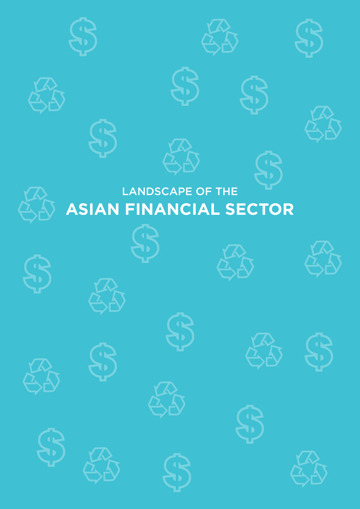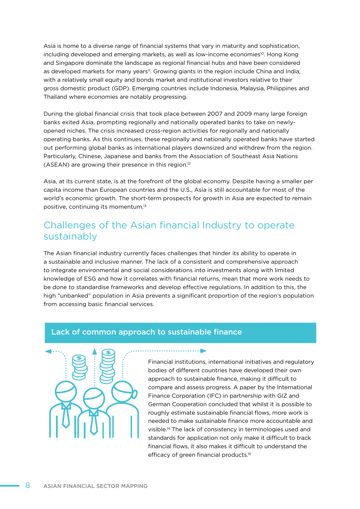Asia is home to a diverse range of financial systems that vary in maturity and sophistication, including developed and emerging markets, as well as low-income economies<sup>10</sup>. Hong Kong and Singapore dominate the landscape as regional financial hubs and have been considered as developed markets for many years<sup>11</sup>. Growing giants in the region include China and India, with a relatively small equity and bonds market and institutional investors relative to their gross domestic product (GDP). Emerging countries include Indonesia, Malaysia, Philippines and Thailand where economies are notably progressing.

During the global financial crisis that took place between 2007 and 2009 many large foreign banks exited Asia, prompting regionally and nationally operated banks to take on newlyopened niches. The crisis increased cross-region activities for regionally and nationally operating banks. As this continues, these regionally and nationally operated banks have started out performing global banks as international players downsized and withdrew from the region. Particularly, Chinese, Japanese and banks from the Association of Southeast Asia Nations (ASEAN) are growing their presence in this region.12

Asia, at its current state, is at the forefront of the global economy. Despite having a smaller per capita income than European countries and the U.S., Asia is still accountable for most of the world's economic growth. The short-term prospects for growth in Asia are expected to remain positive, continuing its momentum.13

## Challenges of the Asian financial Industry to operate sustainably

The Asian financial industry currently faces challenges that hinder its ability to operate in a sustainable and inclusive manner. The lack of a consistent and comprehensive approach to integrate environmental and social considerations into investments along with limited knowledge of ESG and how it correlates with financial returns, mean that more work needs to be done to standardise frameworks and develop effective regulations. In addition to this, the high "unbanked" population in Asia prevents a significant proportion of the region's population from accessing basic financial services.

. . . . . . . . . . . . . <del>. . .</del>

#### Lack of common approach to sustainable finance



Financial institutions, international initiatives and regulatory bodies of different countries have developed their own approach to sustainable finance, making it difficult to compare and assess progress. A paper by the International Finance Corporation (IFC) in partnership with GIZ and German Cooperation concluded that whilst it is possible to roughly estimate sustainable financial flows, more work is needed to make sustainable finance more accountable and visible.14 The lack of consistency in terminologies used and standards for application not only make it difficult to track financial flows, it also makes it difficult to understand the efficacy of green financial products.15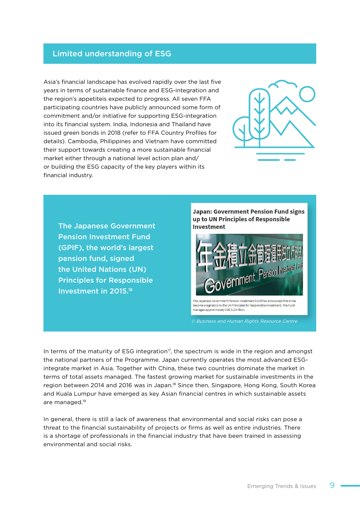#### Limited understanding of ESG

Asia's financial landscape has evolved rapidly over the last five years in terms of sustainable finance and ESG-integration and the region's appetiteis expected to progress. All seven FFA participating countries have publicly announced some form of commitment and/or initiative for supporting ESG-integration into its financial system. India, Indonesia and Thailand have issued green bonds in 2018 (refer to FFA Country Profiles for details). Cambodia, Philippines and Vietnam have committed their support towards creating a more sustainable financial market either through a national level action plan and/ or building the ESG capacity of the key players within its financial industry.



The Japanese Government Pension Investment Fund (GPIF), the world's largest pension fund, signed the United Nations (UN) Principles for Responsible Investment in 2015.16

**Japan: Government Pension Fund signs** up to UN Principles of Responsible **Investment** 



become a signatory to the UN Principles for Responsible Investment. The Fund manages approximately USD 1.2 trillion.

© Business and Human Rights Resource Centre

In terms of the maturity of ESG integration $17$ , the spectrum is wide in the region and amongst the national partners of the Programme. Japan currently operates the most advanced ESGintegrate market in Asia. Together with China, these two countries dominate the market in terms of total assets managed. The fastest growing market for sustainable investments in the region between 2014 and 2016 was in Japan.<sup>18</sup> Since then, Singapore, Hong Kong, South Korea and Kuala Lumpur have emerged as key Asian financial centres in which sustainable assets are managed.19

In general, there is still a lack of awareness that environmental and social risks can pose a threat to the financial sustainability of projects or firms as well as entire industries. There is a shortage of professionals in the financial industry that have been trained in assessing environmental and social risks.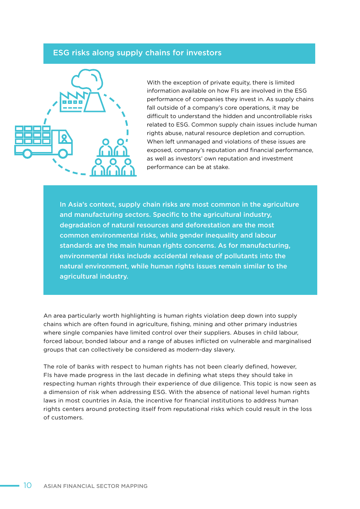#### ESG risks along supply chains for investors



With the exception of private equity, there is limited information available on how FIs are involved in the ESG performance of companies they invest in. As supply chains fall outside of a company's core operations, it may be difficult to understand the hidden and uncontrollable risks related to ESG. Common supply chain issues include human rights abuse, natural resource depletion and corruption. When left unmanaged and violations of these issues are exposed, company's reputation and financial performance, as well as investors' own reputation and investment performance can be at stake.

In Asia's context, supply chain risks are most common in the agriculture and manufacturing sectors. Specific to the agricultural industry, degradation of natural resources and deforestation are the most common environmental risks, while gender inequality and labour standards are the main human rights concerns. As for manufacturing, environmental risks include accidental release of pollutants into the natural environment, while human rights issues remain similar to the agricultural industry.

An area particularly worth highlighting is human rights violation deep down into supply chains which are often found in agriculture, fishing, mining and other primary industries where single companies have limited control over their suppliers. Abuses in child labour, forced labour, bonded labour and a range of abuses inflicted on vulnerable and marginalised groups that can collectively be considered as modern-day slavery.

The role of banks with respect to human rights has not been clearly defined, however, FIs have made progress in the last decade in defining what steps they should take in respecting human rights through their experience of due diligence. This topic is now seen as a dimension of risk when addressing ESG. With the absence of national level human rights laws in most countries in Asia, the incentive for financial institutions to address human rights centers around protecting itself from reputational risks which could result in the loss of customers.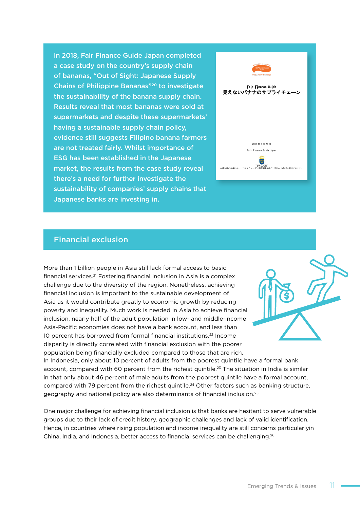In 2018, Fair Finance Guide Japan completed a case study on the country's supply chain of bananas, "Out of Sight: Japanese Supply Chains of Philippine Bananas"20 to investigate the sustainability of the banana supply chain. Results reveal that most bananas were sold at supermarkets and despite these supermarkets' having a sustainable supply chain policy, evidence still suggests Filipino banana farmers are not treated fairly. Whilst importance of ESG has been established in the Japanese market, the results from the case study reveal there's a need for further investigate the sustainability of companies' supply chains that Japanese banks are investing in.



#### Financial exclusion

More than 1 billion people in Asia still lack formal access to basic financial services.21 Fostering financial inclusion in Asia is a complex challenge due to the diversity of the region. Nonetheless, achieving financial inclusion is important to the sustainable development of Asia as it would contribute greatly to economic growth by reducing poverty and inequality. Much work is needed in Asia to achieve financial inclusion, nearly half of the adult population in low- and middle-income Asia-Pacific economies does not have a bank account, and less than 10 percent has borrowed from formal financial institutions.22 Income disparity is directly correlated with financial exclusion with the poorer population being financially excluded compared to those that are rich. In Indonesia, only about 10 percent of adults from the poorest quintile have a formal bank

account, compared with 60 percent from the richest quintile.<sup>23</sup> The situation in India is similar in that only about 46 percent of male adults from the poorest quintile have a formal account, compared with 79 percent from the richest quintile.<sup>24</sup> Other factors such as banking structure, geography and national policy are also determinants of financial inclusion.25

One major challenge for achieving financial inclusion is that banks are hesitant to serve vulnerable groups due to their lack of credit history, geographic challenges and lack of valid identification. Hence, in countries where rising population and income inequality are still concerns particularlyin China, India, and Indonesia, better access to financial services can be challenging.<sup>26</sup>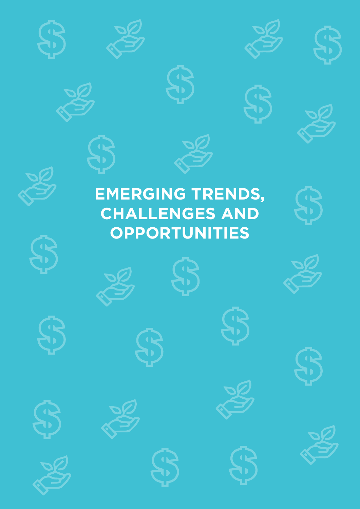









# **EMERGING TRENDS, CHALLENGES AND OPPORTUNITIES**







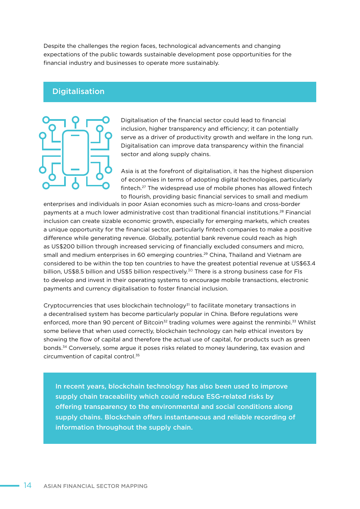Despite the challenges the region faces, technological advancements and changing expectations of the public towards sustainable development pose opportunities for the financial industry and businesses to operate more sustainably.

#### **Digitalisation**

Digitalisation of the financial sector could lead to financial inclusion, higher transparency and efficiency; it can potentially serve as a driver of productivity growth and welfare in the long run. Digitalisation can improve data transparency within the financial sector and along supply chains.

Asia is at the forefront of digitalisation, it has the highest dispersion of economies in terms of adopting digital technologies, particularly fintech.27 The widespread use of mobile phones has allowed fintech to flourish, providing basic financial services to small and medium

enterprises and individuals in poor Asian economies such as micro-loans and cross-border payments at a much lower administrative cost than traditional financial institutions.28 Financial inclusion can create sizable economic growth, especially for emerging markets, which creates a unique opportunity for the financial sector, particularly fintech companies to make a positive difference while generating revenue. Globally, potential bank revenue could reach as high as US\$200 billion through increased servicing of financially excluded consumers and micro, small and medium enterprises in 60 emerging countries.<sup>29</sup> China, Thailand and Vietnam are considered to be within the top ten countries to have the greatest potential revenue at US\$63.4 billion, US\$8.5 billion and US\$5 billion respectively.<sup>30</sup> There is a strong business case for FIs to develop and invest in their operating systems to encourage mobile transactions, electronic payments and currency digitalisation to foster financial inclusion.

Cryptocurrencies that uses blockchain technology $31$  to facilitate monetary transactions in a decentralised system has become particularly popular in China. Before regulations were enforced, more than 90 percent of Bitcoin<sup>32</sup> trading volumes were against the renminbi.<sup>33</sup> Whilst some believe that when used correctly, blockchain technology can help ethical investors by showing the flow of capital and therefore the actual use of capital, for products such as green bonds.34 Conversely, some argue it poses risks related to money laundering, tax evasion and circumvention of capital control.35

In recent years, blockchain technology has also been used to improve supply chain traceability which could reduce ESG-related risks by offering transparency to the environmental and social conditions along supply chains. Blockchain offers instantaneous and reliable recording of information throughout the supply chain.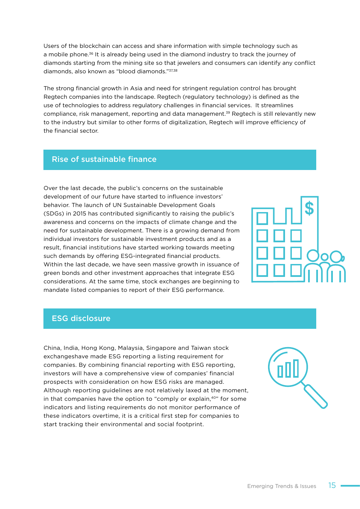Users of the blockchain can access and share information with simple technology such as a mobile phone.<sup>36</sup> It is already being used in the diamond industry to track the journey of diamonds starting from the mining site so that jewelers and consumers can identify any conflict diamonds, also known as "blood diamonds."37,38

The strong financial growth in Asia and need for stringent regulation control has brought Regtech companies into the landscape. Regtech (regulatory technology) is defined as the use of technologies to address regulatory challenges in financial services. It streamlines compliance, risk management, reporting and data management.39 Regtech is still relevantly new to the industry but similar to other forms of digitalization, Regtech will improve efficiency of the financial sector.

#### Rise of sustainable finance

Over the last decade, the public's concerns on the sustainable development of our future have started to influence investors' behavior. The launch of UN Sustainable Development Goals (SDGs) in 2015 has contributed significantly to raising the public's awareness and concerns on the impacts of climate change and the need for sustainable development. There is a growing demand from individual investors for sustainable investment products and as a result, financial institutions have started working towards meeting such demands by offering ESG-integrated financial products. Within the last decade, we have seen massive growth in issuance of green bonds and other investment approaches that integrate ESG considerations. At the same time, stock exchanges are beginning to mandate listed companies to report of their ESG performance.



#### ESG disclosure

China, India, Hong Kong, Malaysia, Singapore and Taiwan stock exchangeshave made ESG reporting a listing requirement for companies. By combining financial reporting with ESG reporting, investors will have a comprehensive view of companies' financial prospects with consideration on how ESG risks are managed. Although reporting guidelines are not relatively laxed at the moment, in that companies have the option to "comply or explain,<sup>40"</sup> for some indicators and listing requirements do not monitor performance of these indicators overtime, it is a critical first step for companies to start tracking their environmental and social footprint.

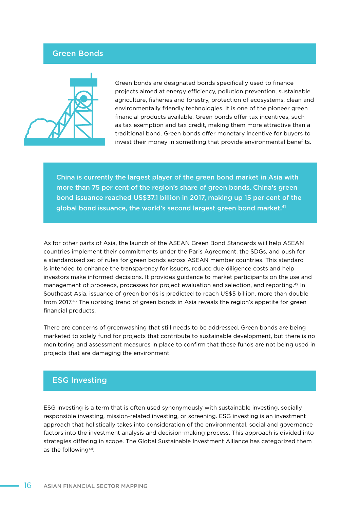#### Green Bonds



Green bonds are designated bonds specifically used to finance projects aimed at energy efficiency, pollution prevention, sustainable agriculture, fisheries and forestry, protection of ecosystems, clean and environmentally friendly technologies. It is one of the pioneer green financial products available. Green bonds offer tax incentives, such as tax exemption and tax credit, making them more attractive than a traditional bond. Green bonds offer monetary incentive for buyers to invest their money in something that provide environmental benefits.

China is currently the largest player of the green bond market in Asia with more than 75 per cent of the region's share of green bonds. China's green bond issuance reached US\$37.1 billion in 2017, making up 15 per cent of the global bond issuance, the world's second largest green bond market.<sup>41</sup>

As for other parts of Asia, the launch of the ASEAN Green Bond Standards will help ASEAN countries implement their commitments under the Paris Agreement, the SDGs, and push for a standardised set of rules for green bonds across ASEAN member countries. This standard is intended to enhance the transparency for issuers, reduce due diligence costs and help investors make informed decisions. It provides guidance to market participants on the use and management of proceeds, processes for project evaluation and selection, and reporting.42 In Southeast Asia, issuance of green bonds is predicted to reach US\$5 billion, more than double from 2017.43 The uprising trend of green bonds in Asia reveals the region's appetite for green financial products.

There are concerns of greenwashing that still needs to be addressed. Green bonds are being marketed to solely fund for projects that contribute to sustainable development, but there is no monitoring and assessment measures in place to confirm that these funds are not being used in projects that are damaging the environment.

#### ESG Investing

ESG investing is a term that is often used synonymously with sustainable investing, socially responsible investing, mission-related investing, or screening. ESG investing is an investment approach that holistically takes into consideration of the environmental, social and governance factors into the investment analysis and decision-making process. This approach is divided into strategies differing in scope. The Global Sustainable Investment Alliance has categorized them as the following44: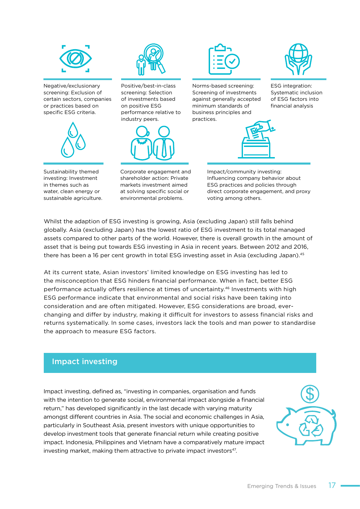

Negative/exclusionary screening: Exclusion of certain sectors, companies or practices based on specific ESG criteria.



Sustainability themed investing: Investment in themes such as water, clean energy or sustainable agriculture.



Positive/best-in-class screening: Selection of investments based on positive ESG performance relative to industry peers.



Corporate engagement and shareholder action: Private markets investment aimed at solving specific social or environmental problems.



Norms-based screening: Screening of investments against generally accepted minimum standards of business principles and practices.





ESG integration: Systematic inclusion of ESG factors into financial analysis

Impact/community investing: Influencing company behavior about ESG practices and policies through direct corporate engagement, and proxy voting among others.

Whilst the adaption of ESG investing is growing, Asia (excluding Japan) still falls behind globally. Asia (excluding Japan) has the lowest ratio of ESG investment to its total managed assets compared to other parts of the world. However, there is overall growth in the amount of asset that is being put towards ESG investing in Asia in recent years. Between 2012 and 2016, there has been a 16 per cent growth in total ESG investing asset in Asia (excluding Japan).<sup>45</sup>

At its current state, Asian investors' limited knowledge on ESG investing has led to the misconception that ESG hinders financial performance. When in fact, better ESG performance actually offers resilience at times of uncertainty.46 Investments with high ESG performance indicate that environmental and social risks have been taking into consideration and are often mitigated. However, ESG considerations are broad, everchanging and differ by industry, making it difficult for investors to assess financial risks and returns systematically. In some cases, investors lack the tools and man power to standardise the approach to measure ESG factors.

#### Impact investing

Impact investing, defined as, "investing in companies, organisation and funds with the intention to generate social, environmental impact alongside a financial return," has developed significantly in the last decade with varying maturity amongst different countries in Asia. The social and economic challenges in Asia, particularly in Southeast Asia, present investors with unique opportunities to develop investment tools that generate financial return while creating positive impact. Indonesia, Philippines and Vietnam have a comparatively mature impact investing market, making them attractive to private impact investors<sup>47</sup>.

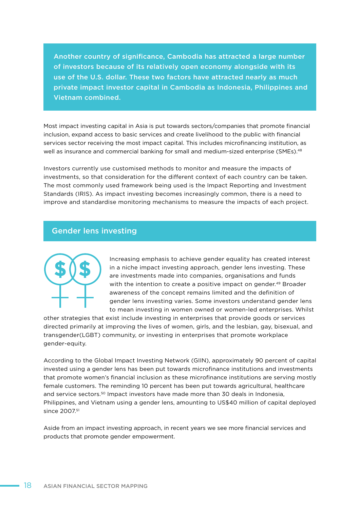Another country of significance, Cambodia has attracted a large number of investors because of its relatively open economy alongside with its use of the U.S. dollar. These two factors have attracted nearly as much private impact investor capital in Cambodia as Indonesia, Philippines and Vietnam combined.

Most impact investing capital in Asia is put towards sectors/companies that promote financial inclusion, expand access to basic services and create livelihood to the public with financial services sector receiving the most impact capital. This includes microfinancing institution, as well as insurance and commercial banking for small and medium-sized enterprise (SMEs).<sup>48</sup>

Investors currently use customised methods to monitor and measure the impacts of investments, so that consideration for the different context of each country can be taken. The most commonly used framework being used is the Impact Reporting and Investment Standards (IRIS). As impact investing becomes increasingly common, there is a need to improve and standardise monitoring mechanisms to measure the impacts of each project.

#### Gender lens investing



Increasing emphasis to achieve gender equality has created interest in a niche impact investing approach, gender lens investing. These are investments made into companies, organisations and funds with the intention to create a positive impact on gender.<sup>49</sup> Broader awareness of the concept remains limited and the definition of gender lens investing varies. Some investors understand gender lens to mean investing in women owned or women-led enterprises. Whilst

other strategies that exist include investing in enterprises that provide goods or services directed primarily at improving the lives of women, girls, and the lesbian, gay, bisexual, and transgender(LGBT) community, or investing in enterprises that promote workplace gender-equity.

According to the Global Impact Investing Network (GIIN), approximately 90 percent of capital invested using a gender lens has been put towards microfinance institutions and investments that promote women's financial inclusion as these microfinance institutions are serving mostly female customers. The reminding 10 percent has been put towards agricultural, healthcare and service sectors.<sup>50</sup> Impact investors have made more than 30 deals in Indonesia, Philippines, and Vietnam using a gender lens, amounting to US\$40 million of capital deployed since 2007.<sup>51</sup>

Aside from an impact investing approach, in recent years we see more financial services and products that promote gender empowerment.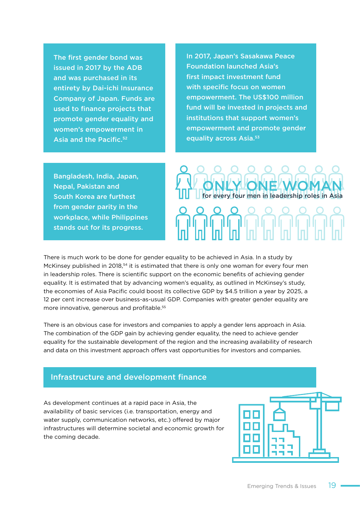The first gender bond was issued in 2017 by the ADB and was purchased in its entirety by Dai-ichi Insurance Company of Japan. Funds are used to finance projects that promote gender equality and women's empowerment in Asia and the Pacific.<sup>52</sup>

In 2017, Japan's Sasakawa Peace Foundation launched Asia's first impact investment fund with specific focus on women empowerment. The US\$100 million fund will be invested in projects and institutions that support women's empowerment and promote gender equality across Asia.<sup>53</sup>

Bangladesh, India, Japan, Nepal, Pakistan and South Korea are furthest from gender parity in the workplace, while Philippines stands out for its progress.



There is much work to be done for gender equality to be achieved in Asia. In a study by McKinsey published in 2018,<sup>54</sup> it is estimated that there is only one woman for every four men in leadership roles. There is scientific support on the economic benefits of achieving gender equality. It is estimated that by advancing women's equality, as outlined in McKinsey's study, the economies of Asia Pacific could boost its collective GDP by \$4.5 trillion a year by 2025, a 12 per cent increase over business-as-usual GDP. Companies with greater gender equality are more innovative, generous and profitable.55

There is an obvious case for investors and companies to apply a gender lens approach in Asia. The combination of the GDP gain by achieving gender equality, the need to achieve gender equality for the sustainable development of the region and the increasing availability of research and data on this investment approach offers vast opportunities for investors and companies.

#### Infrastructure and development finance

As development continues at a rapid pace in Asia, the availability of basic services (i.e. transportation, energy and water supply, communication networks, etc.) offered by major infrastructures will determine societal and economic growth for the coming decade.

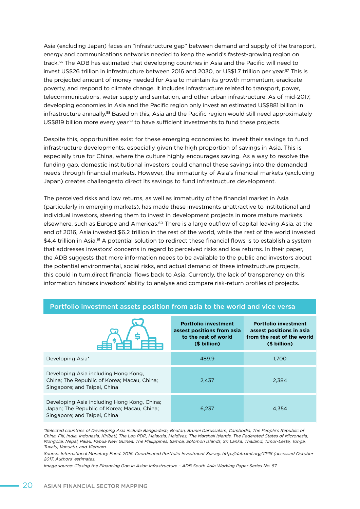Asia (excluding Japan) faces an "infrastructure gap" between demand and supply of the transport, energy and communications networks needed to keep the world's fastest-growing region on track.56 The ADB has estimated that developing countries in Asia and the Pacific will need to invest US\$26 trillion in infrastructure between 2016 and 2030, or US\$1.7 trillion per year.<sup>57</sup> This is the projected amount of money needed for Asia to maintain its growth momentum, eradicate poverty, and respond to climate change. It includes infrastructure related to transport, power, telecommunications, water supply and sanitation, and other urban infrastructure. As of mid-2017, developing economies in Asia and the Pacific region only invest an estimated US\$881 billion in infrastructure annually.<sup>58</sup> Based on this, Asia and the Pacific region would still need approximately US\$819 billion more every year<sup>59</sup> to have sufficient investments to fund these projects.

Despite this, opportunities exist for these emerging economies to invest their savings to fund infrastructure developments, especially given the high proportion of savings in Asia. This is especially true for China, where the culture highly encourages saving. As a way to resolve the funding gap, domestic institutional investors could channel these savings into the demanded needs through financial markets. However, the immaturity of Asia's financial markets (excluding Japan) creates challengesto direct its savings to fund infrastructure development.

The perceived risks and low returns, as well as immaturity of the financial market in Asia (particularly in emerging markets), has made these investments unattractive to institutional and individual investors, steering them to invest in development projects in more mature markets elsewhere, such as Europe and Americas.<sup>60</sup> There is a large outflow of capital leaving Asia, at the end of 2016, Asia invested \$6.2 trillion in the rest of the world, while the rest of the world invested \$4.4 trillion in Asia.<sup>61</sup> A potential solution to redirect these financial flows is to establish a system that addresses investors' concerns in regard to perceived risks and low returns. In their paper, the ADB suggests that more information needs to be available to the public and investors about the potential environmental, social risks, and actual demand of these infrastructure projects, this could in turn,direct financial flows back to Asia. Currently, the lack of transparency on this information hinders investors' ability to analyse and compare risk-return profiles of projects.

|                                                                                                                            | <b>Portfolio investment</b><br>assest positions from asia<br>to the rest of world<br>(\$ billion) | <b>Portfolio investment</b><br>assest positions in asia<br>from the rest of the world<br>(\$ billion) |
|----------------------------------------------------------------------------------------------------------------------------|---------------------------------------------------------------------------------------------------|-------------------------------------------------------------------------------------------------------|
| Developing Asia*                                                                                                           | 489.9                                                                                             | 1.700                                                                                                 |
| Developing Asia including Hong Kong.<br>China; The Republic of Korea; Macau, China;<br>Singapore; and Taipei, China        | 2,437                                                                                             | 2,384                                                                                                 |
| Developing Asia including Hong Kong, China;<br>Japan; The Republic of Korea; Macau, China;<br>Singapore; and Taipei, China | 6.237                                                                                             | 4,354                                                                                                 |

#### Portfolio investment assets position from asia to the world and vice versa

\*Selected countries of Developing Asia include Bangladesh, Bhutan, Brunei Darussalam, Cambodia, The People's Republic of China, Fiji, India, Indonesia, Kiribati, The Lao PDR, Malaysia, Maldives, The Marshall Islands, The Federated States of Micronesia, Mongolia, Nepal, Palau, Papua New Guinea, The Philippines, Samoa, Solomon Islands, Sri Lanka, Thailand, Timor-Leste, Tonga, Tuvalu, Vanuatu, and Vietnam.

Source: International Monetary Fund. 2016. Coordinated Portfolio Investment Survey. http://data.imf.org/CPIS (accessed October 2017, Authors' estimates.

Image source: Closing the Financing Gap in Asian Infrastructure – ADB South Asia Working Paper Series No. 57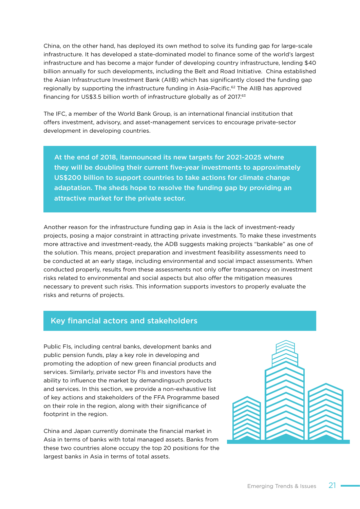China, on the other hand, has deployed its own method to solve its funding gap for large-scale infrastructure. It has developed a state-dominated model to finance some of the world's largest infrastructure and has become a major funder of developing country infrastructure, lending \$40 billion annually for such developments, including the Belt and Road Initiative. China established the Asian Infrastructure Investment Bank (AIIB) which has significantly closed the funding gap regionally by supporting the infrastructure funding in Asia-Pacific.<sup>62</sup> The AIIB has approved financing for US\$3.5 billion worth of infrastructure globally as of 2017.<sup>63</sup>

The IFC, a member of the World Bank Group, is an international financial institution that offers investment, advisory, and asset-management services to encourage private-sector development in developing countries.

At the end of 2018, itannounced its new targets for 2021-2025 where they will be doubling their current five-year investments to approximately US\$200 billion to support countries to take actions for climate change adaptation. The sheds hope to resolve the funding gap by providing an attractive market for the private sector.

Another reason for the infrastructure funding gap in Asia is the lack of investment-ready projects, posing a major constraint in attracting private investments. To make these investments more attractive and investment-ready, the ADB suggests making projects "bankable" as one of the solution. This means, project preparation and investment feasibility assessments need to be conducted at an early stage, including environmental and social impact assessments. When conducted properly, results from these assessments not only offer transparency on investment risks related to environmental and social aspects but also offer the mitigation measures necessary to prevent such risks. This information supports investors to properly evaluate the risks and returns of projects.

#### Key financial actors and stakeholders

Public FIs, including central banks, development banks and public pension funds, play a key role in developing and promoting the adoption of new green financial products and services. Similarly, private sector FIs and investors have the ability to influence the market by demandingsuch products and services. In this section, we provide a non-exhaustive list of key actions and stakeholders of the FFA Programme based on their role in the region, along with their significance of footprint in the region.

China and Japan currently dominate the financial market in Asia in terms of banks with total managed assets. Banks from these two countries alone occupy the top 20 positions for the largest banks in Asia in terms of total assets.

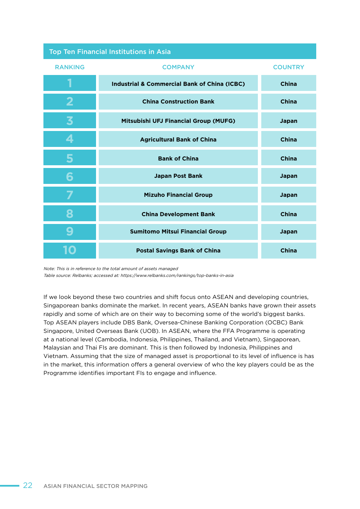|  | <b>Top Ten Financial Institutions in Asia</b> |  |  |  |
|--|-----------------------------------------------|--|--|--|
|  |                                               |  |  |  |
|  |                                               |  |  |  |

| <b>RANKING</b> | <b>COMPANY</b>                                          | <b>COUNTRY</b> |
|----------------|---------------------------------------------------------|----------------|
| 1              | <b>Industrial &amp; Commercial Bank of China (ICBC)</b> | <b>China</b>   |
| 2              | <b>China Construction Bank</b>                          | <b>China</b>   |
| 3              | Mitsubishi UFJ Financial Group (MUFG)                   | Japan          |
| 4              | <b>Agricultural Bank of China</b>                       | China          |
|                | <b>Bank of China</b>                                    | <b>China</b>   |
|                | <b>Japan Post Bank</b>                                  | Japan          |
|                | <b>Mizuho Financial Group</b>                           | Japan          |
|                | <b>China Development Bank</b>                           | China          |
|                | <b>Sumitomo Mitsui Financial Group</b>                  | Japan          |
|                | <b>Postal Savings Bank of China</b>                     | China          |

Note: This is in reference to the total amount of assets managed

Table source: Relbanks; accessed at: https://www.relbanks.com/rankings/top-banks-in-asia

If we look beyond these two countries and shift focus onto ASEAN and developing countries, Singaporean banks dominate the market. In recent years, ASEAN banks have grown their assets rapidly and some of which are on their way to becoming some of the world's biggest banks. Top ASEAN players include DBS Bank, Oversea-Chinese Banking Corporation (OCBC) Bank Singapore, United Overseas Bank (UOB). In ASEAN, where the FFA Programme is operating at a national level (Cambodia, Indonesia, Philippines, Thailand, and Vietnam), Singaporean, Malaysian and Thai FIs are dominant. This is then followed by Indonesia, Philippines and Vietnam. Assuming that the size of managed asset is proportional to its level of influence is has in the market, this information offers a general overview of who the key players could be as the Programme identifies important FIs to engage and influence.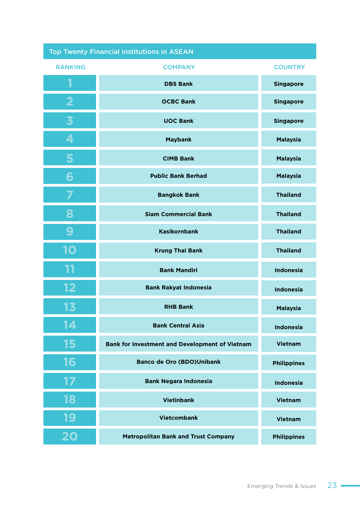| <b>Top Twenty Financial Institutions in ASEAN</b> |                                                       |                    |  |  |
|---------------------------------------------------|-------------------------------------------------------|--------------------|--|--|
| <b>RANKING</b>                                    | <b>COMPANY</b>                                        | <b>COUNTRY</b>     |  |  |
| 1                                                 | <b>DBS Bank</b>                                       | <b>Singapore</b>   |  |  |
| 2                                                 | <b>OCBC Bank</b>                                      | <b>Singapore</b>   |  |  |
| $\overline{\mathbf{3}}$                           | <b>UOC Bank</b>                                       | <b>Singapore</b>   |  |  |
| 4                                                 | <b>Maybank</b>                                        | <b>Malaysia</b>    |  |  |
| 5                                                 | <b>CIMB Bank</b>                                      | <b>Malaysia</b>    |  |  |
| 6                                                 | <b>Public Bank Berhad</b>                             | <b>Malaysia</b>    |  |  |
|                                                   | <b>Bangkok Bank</b>                                   | <b>Thailand</b>    |  |  |
| 8                                                 | <b>Siam Commercial Bank</b>                           | <b>Thailand</b>    |  |  |
| 9                                                 | <b>Kasikornbank</b>                                   | <b>Thailand</b>    |  |  |
| 10                                                | <b>Krung Thai Bank</b>                                | <b>Thailand</b>    |  |  |
| 11                                                | <b>Bank Mandiri</b>                                   | <b>Indonesia</b>   |  |  |
| 12                                                | <b>Bank Rakyat Indonesia</b>                          | <b>Indonesia</b>   |  |  |
| 13                                                | <b>RHB Bank</b>                                       | <b>Malaysia</b>    |  |  |
| 14                                                | <b>Bank Central Asia</b>                              | <b>Indonesia</b>   |  |  |
| 15                                                | <b>Bank for Investment and Development of Vietnam</b> | <b>Vietnam</b>     |  |  |
| 16                                                | <b>Banco de Oro (BDO)Unibank</b>                      | <b>Philippines</b> |  |  |
| 17                                                | <b>Bank Negara Indonesia</b>                          | <b>Indonesia</b>   |  |  |
| 18                                                | <b>Vietinbank</b>                                     | <b>Vietnam</b>     |  |  |
| 19                                                | <b>Vietcombank</b>                                    | <b>Vietnam</b>     |  |  |
| 20                                                | <b>Metropolitan Bank and Trust Company</b>            | <b>Philippines</b> |  |  |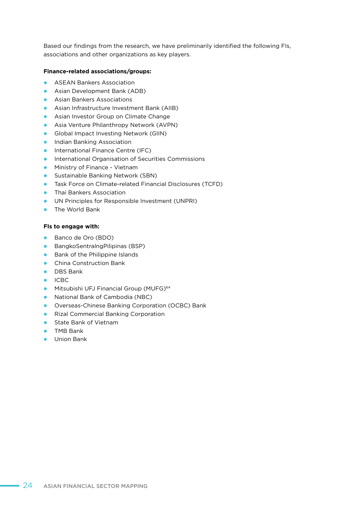Based our findings from the research, we have preliminarily identified the following FIs, associations and other organizations as key players.

#### **Finance-related associations/groups:**

- **ASEAN Bankers Association**
- **•** Asian Development Bank (ADB)
- **Asian Bankers Associations**
- **•** Asian Infrastructure Investment Bank (AIIB)
- **•** Asian Investor Group on Climate Change
- **•** Asia Venture Philanthropy Network (AVPN)
- **•** Global Impact Investing Network (GIIN)
- **•** Indian Banking Association
- **International Finance Centre (IFC)**
- **•** International Organisation of Securities Commissions
- **•** Ministry of Finance Vietnam
- **•** Sustainable Banking Network (SBN)
- **•** Task Force on Climate-related Financial Disclosures (TCFD)
- **•** Thai Bankers Association
- **ID UN Principles for Responsible Investment (UNPRI)**
- **•** The World Bank

#### **FIs to engage with:**

- Banco de Oro (BDO)
- **•** BangkoSentralngPilipinas (BSP)
- $\bullet$  Bank of the Philippine Islands
- **•** China Construction Bank
- **•** DBS Bank
- $\bullet$  ICBC
- **Mitsubishi UFJ Financial Group (MUFG)**<sup>64</sup>
- **•** National Bank of Cambodia (NBC)
- **•** Overseas-Chinese Banking Corporation (OCBC) Bank
- **•** Rizal Commercial Banking Corporation
- **C** State Bank of Vietnam
- **•** TMB Bank
- **•** Union Bank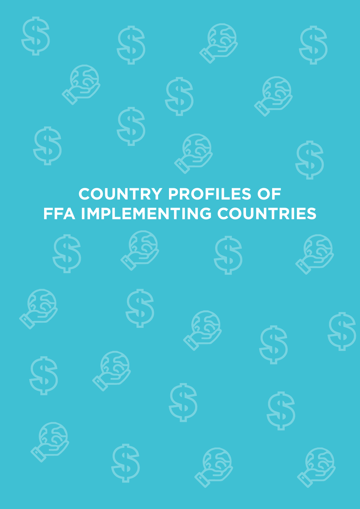

# **COUNTRY PROFILES OF FFA IMPLEMENTING COUNTRIES**

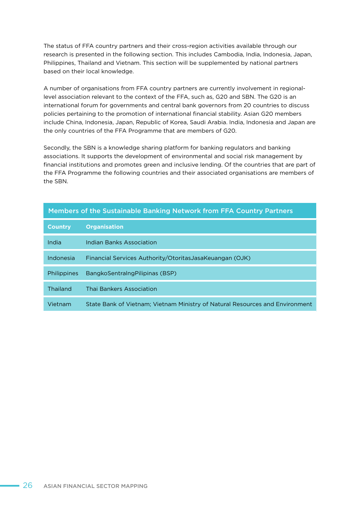The status of FFA country partners and their cross-region activities available through our research is presented in the following section. This includes Cambodia, India, Indonesia, Japan, Philippines, Thailand and Vietnam. This section will be supplemented by national partners based on their local knowledge.

A number of organisations from FFA country partners are currently involvement in regionallevel association relevant to the context of the FFA, such as, G20 and SBN. The G20 is an international forum for governments and central bank governors from 20 countries to discuss policies pertaining to the promotion of international financial stability. Asian G20 members include China, Indonesia, Japan, Republic of Korea, Saudi Arabia. India, Indonesia and Japan are the only countries of the FFA Programme that are members of G20.

Secondly, the SBN is a knowledge sharing platform for banking regulators and banking associations. It supports the development of environmental and social risk management by financial institutions and promotes green and inclusive lending. Of the countries that are part of the FFA Programme the following countries and their associated organisations are members of the SBN.

#### Members of the Sustainable Banking Network from FFA Country Partners

| <b>Country</b>     | <b>Organisation</b>                                                          |
|--------------------|------------------------------------------------------------------------------|
| India              | <b>Indian Banks Association</b>                                              |
| Indonesia          | Financial Services Authority/OtoritasJasaKeuangan (OJK)                      |
| <b>Philippines</b> | BangkoSentralngPilipinas (BSP)                                               |
| Thailand           | Thai Bankers Association                                                     |
| Vietnam            | State Bank of Vietnam; Vietnam Ministry of Natural Resources and Environment |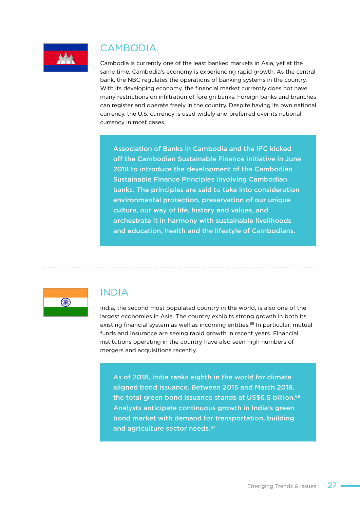

## CAMBODIA

Cambodia is currently one of the least banked markets in Asia, yet at the same time, Cambodia's economy is experiencing rapid growth. As the central bank, the NBC regulates the operations of banking systems in the country. With its developing economy, the financial market currently does not have many restrictions on infiltration of foreign banks. Foreign banks and branches can register and operate freely in the country. Despite having its own national currency, the U.S. currency is used widely and preferred over its national currency in most cases.

Association of Banks in Cambodia and the IFC kicked off the Cambodian Sustainable Finance initiative in June 2018 to introduce the development of the Cambodian Sustainable Finance Principles involving Cambodian banks. The principles are said to take into consideration environmental protection, preservation of our unique culture, our way of life, history and values, and orchestrate it in harmony with sustainable livelihoods and education, health and the lifestyle of Cambodians.



### INDIA

India, the second most populated country in the world, is also one of the largest economies in Asia. The country exhibits strong growth in both its existing financial system as well as incoming entities.<sup>65</sup> In particular, mutual funds and insurance are seeing rapid growth in recent years. Financial institutions operating in the country have also seen high numbers of mergers and acquisitions recently.

As of 2018, India ranks eighth in the world for climate aligned bond issuance. Between 2015 and March 2018, the total green bond issuance stands at US\$6.5 billion.<sup>66</sup> Analysts anticipate continuous growth in India's green bond market with demand for transportation, building and agriculture sector needs.<sup>67</sup>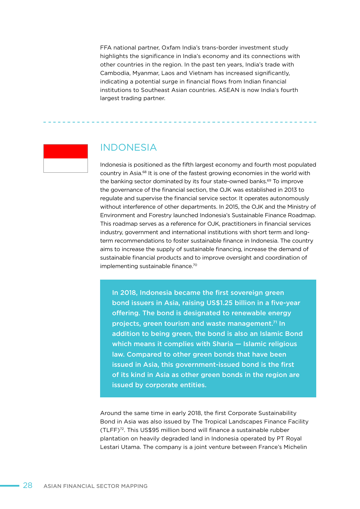FFA national partner, Oxfam India's trans-border investment study highlights the significance in India's economy and its connections with other countries in the region. In the past ten years, India's trade with Cambodia, Myanmar, Laos and Vietnam has increased significantly, indicating a potential surge in financial flows from Indian financial institutions to Southeast Asian countries. ASEAN is now India's fourth largest trading partner.



## INDONESIA

Indonesia is positioned as the fifth largest economy and fourth most populated country in Asia.68 It is one of the fastest growing economies in the world with the banking sector dominated by its four state-owned banks.69 To improve the governance of the financial section, the OJK was established in 2013 to regulate and supervise the financial service sector. It operates autonomously without interference of other departments. In 2015, the OJK and the Ministry of Environment and Forestry launched Indonesia's Sustainable Finance Roadmap. This roadmap serves as a reference for OJK, practitioners in financial services industry, government and international institutions with short term and longterm recommendations to foster sustainable finance in Indonesia. The country aims to increase the supply of sustainable financing, increase the demand of sustainable financial products and to improve oversight and coordination of implementing sustainable finance.70

In 2018, Indonesia became the first sovereign green bond issuers in Asia, raising US\$1.25 billion in a five-year offering. The bond is designated to renewable energy projects, green tourism and waste management.<sup>71</sup> In addition to being green, the bond is also an Islamic Bond which means it complies with Sharia — Islamic religious law. Compared to other green bonds that have been issued in Asia, this government-issued bond is the first of its kind in Asia as other green bonds in the region are issued by corporate entities.

Around the same time in early 2018, the first Corporate Sustainability Bond in Asia was also issued by The Tropical Landscapes Finance Facility (TLFF)72. This US\$95 million bond will finance a sustainable rubber plantation on heavily degraded land in Indonesia operated by PT Royal Lestari Utama. The company is a joint venture between France's Michelin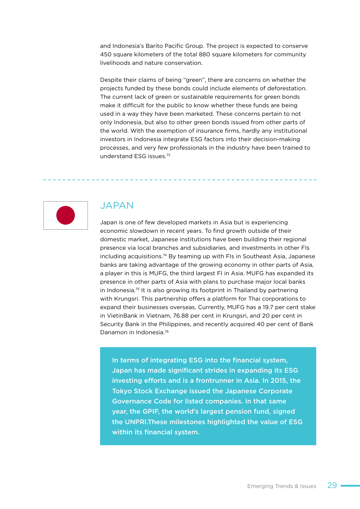and Indonesia's Barito Pacific Group. The project is expected to conserve 450 square kilometers of the total 880 square kilometers for community livelihoods and nature conservation.

Despite their claims of being "green", there are concerns on whether the projects funded by these bonds could include elements of deforestation. The current lack of green or sustainable requirements for green bonds make it difficult for the public to know whether these funds are being used in a way they have been marketed. These concerns pertain to not only Indonesia, but also to other green bonds issued from other parts of the world. With the exemption of insurance firms, hardly any institutional investors in Indonesia integrate ESG factors into their decision-making processes, and very few professionals in the industry have been trained to understand ESG issues.73



### JAPAN

Japan is one of few developed markets in Asia but is experiencing economic slowdown in recent years. To find growth outside of their domestic market, Japanese institutions have been building their regional presence via local branches and subsidiaries, and investments in other FIs including acquisitions.74 By teaming up with FIs in Southeast Asia, Japanese banks are taking advantage of the growing economy in other parts of Asia, a player in this is MUFG, the third largest FI in Asia. MUFG has expanded its presence in other parts of Asia with plans to purchase major local banks in Indonesia.75 It is also growing its footprint in Thailand by partnering with Krungsri. This partnership offers a platform for Thai corporations to expand their businesses overseas. Currently, MUFG has a 19.7 per cent stake in VietinBank in Vietnam, 76.88 per cent in Krungsri, and 20 per cent in Security Bank in the Philippines, and recently acquired 40 per cent of Bank Danamon in Indonesia.76

In terms of integrating ESG into the financial system, Japan has made significant strides in expanding its ESG investing efforts and is a frontrunner in Asia. In 2015, the Tokyo Stock Exchange issued the Japanese Corporate Governance Code for listed companies. In that same year, the GPIF, the world's largest pension fund, signed the UNPRI.These milestones highlighted the value of ESG within its financial system.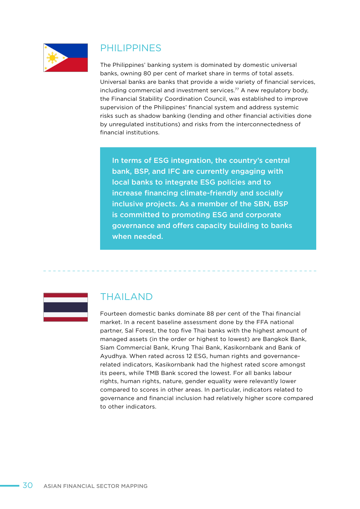

### PHILIPPINES

The Philippines' banking system is dominated by domestic universal banks, owning 80 per cent of market share in terms of total assets. Universal banks are banks that provide a wide variety of financial services, including commercial and investment services.<sup>77</sup> A new regulatory body, the Financial Stability Coordination Council, was established to improve supervision of the Philippines' financial system and address systemic risks such as shadow banking (lending and other financial activities done by unregulated institutions) and risks from the interconnectedness of financial institutions.

In terms of ESG integration, the country's central bank, BSP, and IFC are currently engaging with local banks to integrate ESG policies and to increase financing climate-friendly and socially inclusive projects. As a member of the SBN, BSP is committed to promoting ESG and corporate governance and offers capacity building to banks when needed.



### THAILAND

Fourteen domestic banks dominate 88 per cent of the Thai financial market. In a recent baseline assessment done by the FFA national partner, Sal Forest, the top five Thai banks with the highest amount of managed assets (in the order or highest to lowest) are Bangkok Bank, Siam Commercial Bank, Krung Thai Bank, Kasikornbank and Bank of Ayudhya. When rated across 12 ESG, human rights and governancerelated indicators, Kasikornbank had the highest rated score amongst its peers, while TMB Bank scored the lowest. For all banks labour rights, human rights, nature, gender equality were relevantly lower compared to scores in other areas. In particular, indicators related to governance and financial inclusion had relatively higher score compared to other indicators.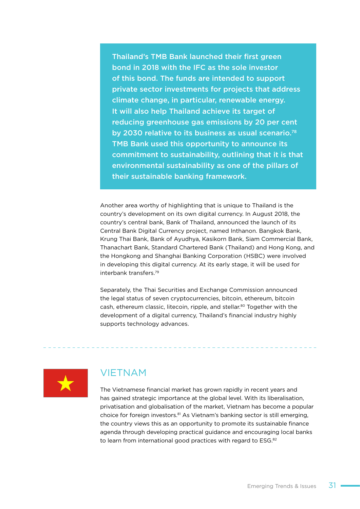Thailand's TMB Bank launched their first green bond in 2018 with the IFC as the sole investor of this bond. The funds are intended to support private sector investments for projects that address climate change, in particular, renewable energy. It will also help Thailand achieve its target of reducing greenhouse gas emissions by 20 per cent by 2030 relative to its business as usual scenario.78 TMB Bank used this opportunity to announce its commitment to sustainability, outlining that it is that environmental sustainability as one of the pillars of their sustainable banking framework.

Another area worthy of highlighting that is unique to Thailand is the country's development on its own digital currency. In August 2018, the country's central bank, Bank of Thailand, announced the launch of its Central Bank Digital Currency project, named Inthanon. Bangkok Bank, Krung Thai Bank, Bank of Ayudhya, Kasikorn Bank, Siam Commercial Bank, Thanachart Bank, Standard Chartered Bank (Thailand) and Hong Kong, and the Hongkong and Shanghai Banking Corporation (HSBC) were involved in developing this digital currency. At its early stage, it will be used for interbank transfers.79

Separately, the Thai Securities and Exchange Commission announced the legal status of seven cryptocurrencies, bitcoin, ethereum, bitcoin cash, ethereum classic, litecoin, ripple, and stellar.80 Together with the development of a digital currency, Thailand's financial industry highly supports technology advances.



### VIETNAM

The Vietnamese financial market has grown rapidly in recent years and has gained strategic importance at the global level. With its liberalisation, privatisation and globalisation of the market, Vietnam has become a popular choice for foreign investors.81 As Vietnam's banking sector is still emerging, the country views this as an opportunity to promote its sustainable finance agenda through developing practical guidance and encouraging local banks to learn from international good practices with regard to ESG.<sup>82</sup>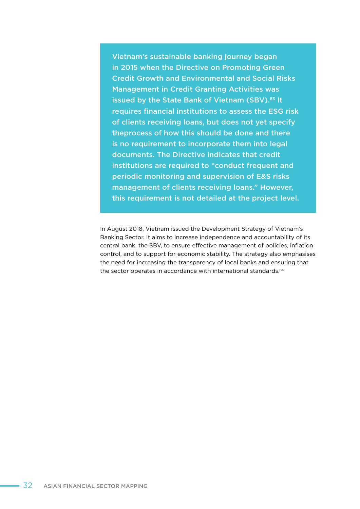Vietnam's sustainable banking journey began in 2015 when the Directive on Promoting Green Credit Growth and Environmental and Social Risks Management in Credit Granting Activities was issued by the State Bank of Vietnam (SBV).<sup>83</sup> It requires financial institutions to assess the ESG risk of clients receiving loans, but does not yet specify theprocess of how this should be done and there is no requirement to incorporate them into legal documents. The Directive indicates that credit institutions are required to "conduct frequent and periodic monitoring and supervision of E&S risks management of clients receiving loans." However, this requirement is not detailed at the project level.

In August 2018, Vietnam issued the Development Strategy of Vietnam's Banking Sector. It aims to increase independence and accountability of its central bank, the SBV, to ensure effective management of policies, inflation control, and to support for economic stability. The strategy also emphasises the need for increasing the transparency of local banks and ensuring that the sector operates in accordance with international standards.<sup>84</sup>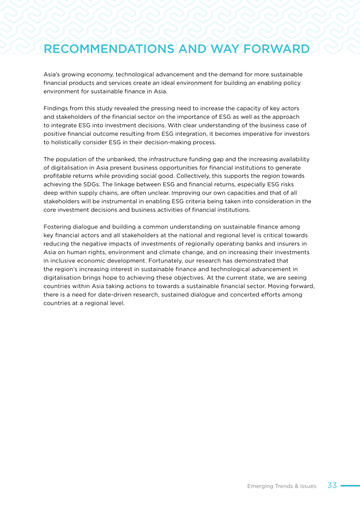## RECOMMENDATIONS AND WAY FORWARD

Asia's growing economy, technological advancement and the demand for more sustainable financial products and services create an ideal environment for building an enabling policy environment for sustainable finance in Asia.

Findings from this study revealed the pressing need to increase the capacity of key actors and stakeholders of the financial sector on the importance of ESG as well as the approach to integrate ESG into investment decisions. With clear understanding of the business case of positive financial outcome resulting from ESG integration, it becomes imperative for investors to holistically consider ESG in their decision-making process.

The population of the unbanked, the infrastructure funding gap and the increasing availability of digitalisation in Asia present business opportunities for financial institutions to generate profitable returns while providing social good. Collectively, this supports the region towards achieving the SDGs. The linkage between ESG and financial returns, especially ESG risks deep within supply chains, are often unclear. Improving our own capacities and that of all stakeholders will be instrumental in enabling ESG criteria being taken into consideration in the core investment decisions and business activities of financial institutions.

Fostering dialogue and building a common understanding on sustainable finance among key financial actors and all stakeholders at the national and regional level is critical towards reducing the negative impacts of investments of regionally operating banks and insurers in Asia on human rights, environment and climate change, and on increasing their investments in inclusive economic development. Fortunately, our research has demonstrated that the region's increasing interest in sustainable finance and technological advancement in digitalisation brings hope to achieving these objectives. At the current state, we are seeing countries within Asia taking actions to towards a sustainable financial sector. Moving forward, there is a need for date-driven research, sustained dialogue and concerted efforts among countries at a regional level.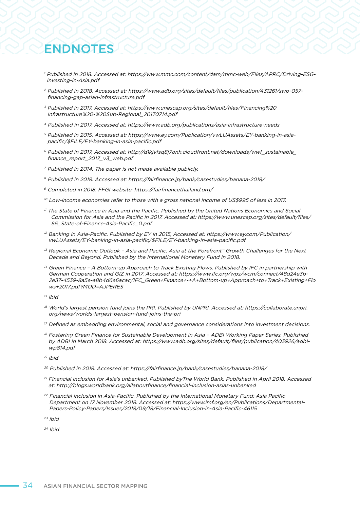## ENDNOTES

- <sup>1</sup> Published in 2018. Accessed at: https://www.mmc.com/content/dam/mmc-web/Files/APRC/Driving-ESG-Investing-in-Asia.pdf
- <sup>2</sup> Published in 2018. Accessed at: https://www.adb.org/sites/default/files/publication/431261/swp-057 financing-gap-asian-infrastructure.pdf
- <sup>3</sup> Published in 2017. Accessed at: https://www.unescap.org/sites/default/files/Financing%20 Infrastructure%20-%20Sub-Regional\_20170714.pdf
- <sup>4</sup> Published in 2017. Accessed at: https://www.adb.org/publications/asia-infrastructure-needs
- <sup>5</sup> Published in 2015. Accessed at: https://www.ey.com/Publication/vwLUAssets/EY-banking-in-asiapacific/\$FILE/EY-banking-in-asia-pacific.pdf
- <sup>6</sup> Published in 2017, Accessed at: http://d1kjvfsq8j7onh.cloudfront.net/downloads/wwf\_sustainable\_ finance\_report\_2017\_v3\_web.pdf
- <sup>7</sup> Published in 2014. The paper is not made available publicly.
- <sup>8</sup> Published in 2018. Accessed at: https://fairfinance.jp/bank/casestudies/banana-2018/
- <sup>9</sup> Completed in 2018. FFGI website: https://fairfinancethailand.org/
- <sup>10</sup> Low-income economies refer to those with a gross national income of US\$995 of less in 2017.
- <sup>11</sup> The State of Finance in Asia and the Pacific. Published by the United Nations Economics and Social Commission for Asia and the Pacific in 2017. Accessed at: https://www.unescap.org/sites/default/files/ S6 State-of-Finance-Asia-Pacific 0.pdf
- $12$  Banking in Asia-Pacific. Published by EY in 2015, Accessed at: https://www.ey.com/Publication/ vwLUAssets/EY-banking-in-asia-pacific/\$FILE/EY-banking-in-asia-pacific.pdf
- <sup>13</sup> Regional Economic Outlook Asia and Pacific: Asia at the Forefront" Growth Challenges for the Next Decade and Beyond. Published by the International Monetary Fund in 2018.
- <sup>14</sup> Green Finance A Bottom-up Approach to Track Existing Flows. Published by IFC in partnership with German Cooperation and GIZ in 2017. Accessed at: https://www.ifc.org/wps/wcm/connect/48d24e3b-2e37-4539-8a5e-a8b4d6e6acac/IFC\_Green+Finance+-+A+Bottom-up+Approach+to+Track+Existing+Flo ws+2017.pdf?MOD=AJPERES
- $15$  ibid
- <sup>16</sup> World's largest pension fund joins the PRI. Published by UNPRI. Accessed at: https://collaborate.unpri. org/news/worlds-largest-pension-fund-joins-the-pri
- <sup>17</sup> Defined as embedding environmental, social and governance considerations into investment decisions.
- <sup>18</sup> Fostering Green Finance for Sustainable Development in Asia ADBI Working Paper Series. Published by ADBI in March 2018. Accessed at: https://www.adb.org/sites/default/files/publication/403926/adbiwp814.pdf

 $19$  ihid

- <sup>20</sup> Published in 2018. Accessed at: https://fairfinance.jp/bank/casestudies/banana-2018/
- <sup>21</sup> Financial inclusion for Asia's unbanked. Published byThe World Bank. Published in April 2018. Accessed at: http://blogs.worldbank.org/allaboutfinance/financial-inclusion-asias-unbanked
- <sup>22</sup> Financial Inclusion in Asia-Pacific. Published by the International Monetary Fund: Asia Pacific Department on 17 November 2018. Accessed at: https://www.imf.org/en/Publications/Departmental-Papers-Policy-Papers/Issues/2018/09/18/Financial-Inclusion-in-Asia-Pacific-46115

 $23$  ibid

 $24$  Ibid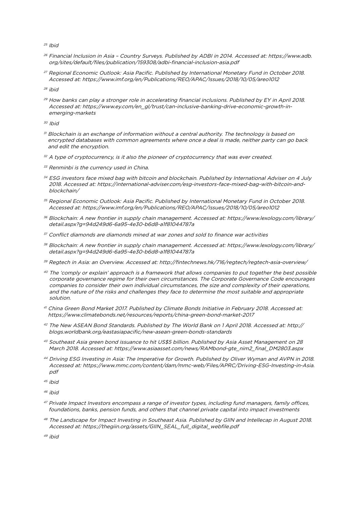$25$  Ibid

- <sup>26</sup> Financial Inclusion in Asia Country Surveys. Published by ADBI in 2014. Accessed at: https://www.adb. org/sites/default/files/publication/159308/adbi-financial-inclusion-asia.pdf
- <sup>27</sup> Regional Economic Outlook: Asia Pacific. Published by International Monetary Fund in October 2018. Accessed at: https://www.imf.org/en/Publications/REO/APAC/Issues/2018/10/05/areo1012

<sup>28</sup> ibid

<sup>29</sup> How banks can play a stronger role in accelerating financial inclusions. Published by EY in April 2018. Accessed at: https://www.ey.com/en\_gl/trust/can-inclusive-banking-drive-economic-growth-inemerging-markets

<sup>30</sup> Ibid

- $31$  Blockchain is an exchange of information without a central authority. The technology is based on encrypted databases with common agreements where once a deal is made, neither party can go back and edit the encryption.
- $32$  A type of cryptocurrency, is it also the pioneer of cryptocurrency that was ever created.
- $33$  Renminbi is the currency used in China.
- <sup>34</sup> ESG investors face mixed bag with bitcoin and blockchain. Published by International Adviser on 4 July 2018. Accessed at: https://international-adviser.com/esg-investors-face-mixed-bag-with-bitcoin-andblockchain/
- <sup>35</sup> Regional Economic Outlook: Asia Pacific. Published by International Monetary Fund in October 2018. Accessed at: https://www.imf.org/en/Publications/REO/APAC/Issues/2018/10/05/areo1012
- <sup>36</sup> Blockchain: A new frontier in supply chain management. Accessed at: https://www.lexology.com/library/ detail.aspx?g=94d249d6-6a95-4e30-b6d8-a1f81044787a
- <sup>37</sup> Conflict diamonds are diamonds mined at war zones and sold to finance war activities
- <sup>38</sup> Blockchain: A new frontier in supply chain management. Accessed at: https://www.lexology.com/library/ detail.aspx?g=94d249d6-6a95-4e30-b6d8-a1f81044787a
- <sup>39</sup> Regtech in Asia: an Overview. Accessed at: http://fintechnews.hk/716/regtech/regtech-asia-overview/
- <sup>40</sup> The 'comply or explain' approach is a framework that allows companies to put together the best possible corporate governance regime for their own circumstances. The Corporate Governance Code encourages companies to consider their own individual circumstances, the size and complexity of their operations, and the nature of the risks and challenges they face to determine the most suitable and appropriate solution.
- <sup>41</sup> China Green Bond Market 2017. Published by Climate Bonds Initiative in February 2018. Accessed at: https://www.climatebonds.net/resources/reports/china-green-bond-market-2017
- <sup>42</sup> The New ASEAN Bond Standards. Published by The World Bank on 1 April 2018. Accessed at: http:// blogs.worldbank.org/eastasiapacific/new-asean-green-bonds-standards
- <sup>43</sup> Southeast Asia green bond issuance to hit US\$5 billion. Published by Asia Asset Management on 28 March 2018. Accessed at: https://www.asiaasset.com/news/RAMbond-gte\_nim2\_final\_DM2803.aspx
- <sup>44</sup> Driving ESG Investing in Asia: The Imperative for Growth. Published by Oliver Wyman and AVPN in 2018. Accessed at: https://www.mmc.com/content/dam/mmc-web/Files/APRC/Driving-ESG-Investing-in-Asia. pdf
- $45$  ibid
- <sup>46</sup> ibid
- 47 Private Impact Investors encompass a range of investor types, including fund managers, family offices, foundations, banks, pension funds, and others that channel private capital into impact investments
- 48 The Landscape for Impact Investing in Southeast Asia. Published by GIIN and Intellecap in August 2018. Accessed at: https://thegiin.org/assets/GIIN\_SEAL\_full\_digital\_webfile.pdf

49 ibid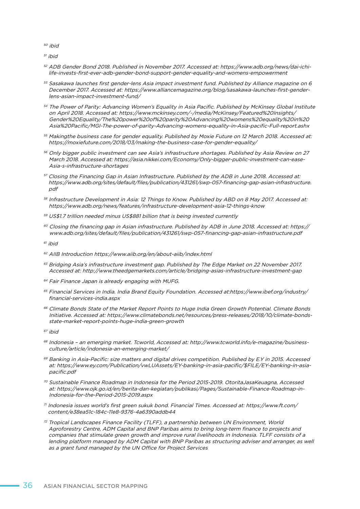<sup>50</sup> ibid

 $51$  ibid

- <sup>52</sup> ADB Gender Bond 2018. Published in November 2017. Accessed at: https://www.adb.org/news/dai-ichilife-invests-first-ever-adb-gender-bond-support-gender-equality-and-womens-empowerment
- $53$  Sasakawa launches first gender-lens Asia impact investment fund. Published by Alliance magazine on 6 December 2017. Accessed at: https://www.alliancemagazine.org/blog/sasakawa-launches-first-genderlens-asian-impact-investment-fund/
- <sup>54</sup> The Power of Parity: Advancing Women's Equality in Asia Pacific. Published by McKinsey Global Institute on April 2018. Accessed at: https://www.mckinsey.com/~/media/McKinsey/Featured%20Insights/ Gender%20Equality/The%20power%20of%20parity%20Advancing%20womens%20equality%20in%20 Asia%20Pacific/MGI-The-power-of-parity-Advancing-womens-equality-in-Asia-pacific-Full-report.ashx
- <sup>55</sup> Makingthe business case for gender equality. Published by Moxie Future on 12 March 2018. Accessed at: https://moxiefuture.com/2018/03/making-the-business-case-for-gender-equality/
- 56 Only bigger public investment can see Asia's infrastructure shortages. Published by Asia Review on 27 March 2018. Accessed at: https://asia.nikkei.com/Economy/Only-bigger-public-investment-can-ease-Asia-s-infrastructure-shortages
- <sup>57</sup> Closing the Financing Gap in Asian Infrastructure. Published by the ADB in June 2018. Accessed at: https://www.adb.org/sites/default/files/publication/431261/swp-057-financing-gap-asian-infrastructure.  $ndf$
- 58 Infrastructure Development in Asia: 12 Things to Know. Published by ABD on 8 May 2017. Accessed at: https://www.adb.org/news/features/infrastructure-development-asia-12-things-know
- <sup>59</sup> US\$1.7 trillion needed minus US\$881 billion that is being invested currently
- $60$  Closing the financing gap in Asian infrastructure. Published by ADB in June 2018. Accessed at: https:// www.adb.org/sites/default/files/publication/431261/swp-057-financing-gap-asian-infrastructure.pdf

 $61$  ibid

- <sup>62</sup> AIIB Introduction https://www.aiib.org/en/about-aiib/index.html
- $63$  Bridging Asia's infrastructure investment gap. Published by The Edge Market on 22 November 2017. Accessed at: http://www.theedgemarkets.com/article/bridging-asias-infrastructure-investment-gap
- <sup>64</sup> Fair Finance Japan is already engaging with MUFG.
- <sup>65</sup> Financial Services in India. India Brand Equity Foundation. Accessed at:https://www.ibef.org/industry/ financial-services-india.aspx
- <sup>66</sup> Climate Bonds State of the Market Report Points to Huge India Green Growth Potential. Climate Bonds Initiative. Accessed at: https://www.climatebonds.net/resources/press-releases/2018/10/climate-bondsstate-market-report-points-huge-india-green-growth
- $67$  ibid
- <sup>68</sup> Indonesia an emerging market. Tcworld, Accessed at: http://www.tcworld.info/e-magazine/businessculture/article/indonesia-an-emerging-market/
- 69 Banking in Asia-Pacific: size matters and digital drives competition. Published by E.Y in 2015. Accessed at: https://www.ey.com/Publication/vwLUAssets/EY-banking-in-asia-pacific/\$FILE/EY-banking-in-asiapacific.pdf
- $70$  Sustainable Finance Roadmap in Indonesia for the Period 2015-2019. OtoritaJasaKeuagna, Accessed at: https://www.ojk.go.id/en/berita-dan-kegiatan/publikasi/Pages/Sustainable-Finance-Roadmap-in-Indonesia-for-the-Period-2015-2019.aspx
- <sup>71</sup> Indonesia issues world's first green sukuk bond. Financial Times. Accessed at: https://www.ft.com/ content/e38ea51c-184c-11e8-9376-4a6390addb44
- <sup>72</sup> Tropical Landscapes Finance Facility (TLFF), a partnership between UN Environment, World Agroforestry Centre, ADM Capital and BNP Paribas aims to bring long-term finance to projects and companies that stimulate green growth and improve rural livelihoods in Indonesia. TLFF consists of a lending platform managed by ADM Capital with BNP Paribas as structuring adviser and arranger, as well as a grant fund managed by the UN Office for Project Services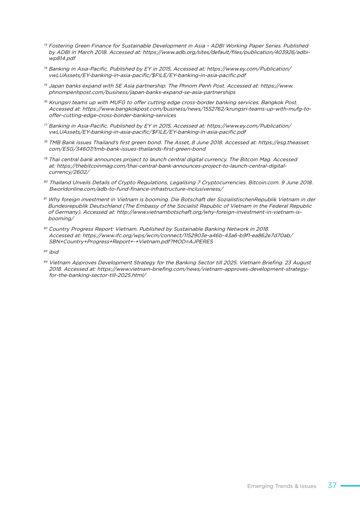- <sup>73</sup> Fostering Green Finance for Sustainable Development in Asia ADBI Working Paper Series. Published by ADBI in March 2018. Accessed at: https://www.adb.org/sites/default/files/publication/403926/adbiwp814.pdf
- <sup>74</sup> Banking in Asia-Pacific. Published by EY in 2015, Accessed at: https://www.ey.com/Publication/ vwLUAssets/EY-banking-in-asia-pacific/\$FILE/EY-banking-in-asia-pacific.pdf
- $75$  Japan banks expand with SE Asia partnership. The Phnom Penh Post. Accessed at: https://www. phnompenhpost.com/business/japan-banks-expand-se-asia-partnerships
- <sup>76</sup> Krungsri teams up with MUFG to offer cutting edge cross-border banking services. Bangkok Post. Accessed at: https://www.bangkokpost.com/business/news/1552762/krungsri-teams-up-with-mufg-tooffer-cutting-edge-cross-border-banking-services
- <sup>77</sup> Banking in Asia-Pacific. Published by EY in 2015, Accessed at: https://www.ey.com/Publication/ vwLUAssets/EY-banking-in-asia-pacific/\$FILE/EY-banking-in-asia-pacific.pdf
- <sup>78</sup> TMB Bank issues Thailand's first green bond. The Asset, 8 June 2018. Accessed at: https://esg.theasset. com/ESG/34607/tmb-bank-issues-thailands-first-green-bond
- <sup>79</sup> Thai central bank announces project to launch central digital currency. The Bitcoin Mag. Accessed at: https://thebitcoinmag.com/thai-central-bank-announces-project-to-launch-central-digitalcurrency/2602/
- 80 Thailand Unveils Details of Crypto Regulations, Legalising 7 Cryptocurrencies. Bitcoin.com. 9 June 2018. Bworldonline.com/adb-to-fund-finance-infrastructure-inclusiveness/
- 81 Why foreign investment in Vietnam is booming. Die Botschaft der SozialistischenRepublik Vietnam in der Bundesrepublik Deutschland (The Embassy of the Socialist Republic of Vietnam in the Federal Republic of Germany). Accessed at: http://www.vietnambotschaft.org/why-foreign-investment-in-vietnam-isbooming/
- 82 Country Progress Report: Vietnam. Published by Sustainable Banking Network in 2018. Accessed at: https://www.ifc.org/wps/wcm/connect/1152903e-a46b-43a6-b9f1-ea862e7d70ab/ SBN+Country+Progress+Report+-+Vietnam.pdf?MOD=AJPERES

 $83$  ibid

84 Vietnam Approves Development Strategy for the Banking Sector till 2025. Vietnam Briefing. 23 August 2018. Accessed at: https://www.vietnam-briefing.com/news/vietnam-approves-development-strategyfor-the-banking-sector-till-2025.html/